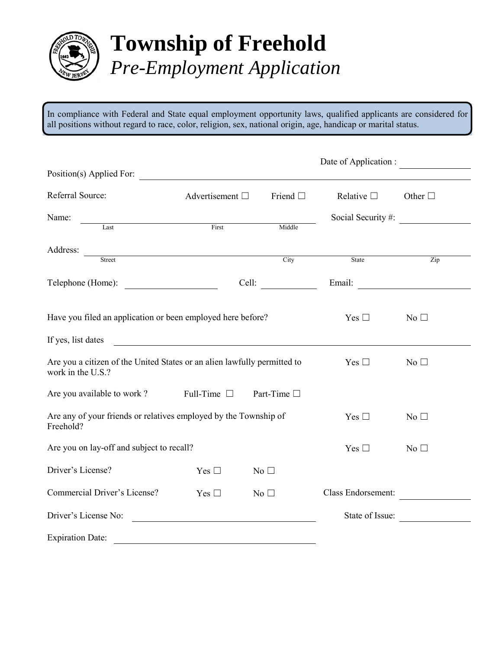

## **Township of Freehold** *Pre-Employment Application*

In compliance with Federal and State equal employment opportunity laws, qualified applicants are considered for all positions without regard to race, color, religion, sex, national origin, age, handicap or marital status.

|                                                                                               |                      |                 | Date of Application : |                       |
|-----------------------------------------------------------------------------------------------|----------------------|-----------------|-----------------------|-----------------------|
| Position(s) Applied For:                                                                      |                      |                 |                       |                       |
| Referral Source:                                                                              | Advertisement $\Box$ | Friend $\Box$   | Relative $\Box$       | Other $\square$       |
| Name:                                                                                         |                      |                 |                       | Social Security $#$ : |
| Last                                                                                          | First                | Middle          |                       |                       |
| Address:                                                                                      |                      |                 |                       |                       |
| Street                                                                                        |                      | City            | State                 | Zip                   |
| Telephone (Home):                                                                             |                      | Cell:           |                       | Email:                |
| Have you filed an application or been employed here before?                                   |                      |                 | Yes $\Box$            | No <sub>1</sub>       |
| If yes, list dates                                                                            |                      |                 |                       |                       |
| Are you a citizen of the United States or an alien lawfully permitted to<br>work in the U.S.? |                      |                 | Yes $\square$         | No <sub>1</sub>       |
| Are you available to work?                                                                    | Full-Time $\Box$     | Part-Time □     |                       |                       |
| Are any of your friends or relatives employed by the Township of<br>Freehold?                 | Yes $\square$        | No <sub>1</sub> |                       |                       |
| Are you on lay-off and subject to recall?                                                     |                      |                 | Yes $\square$         | No $\square$          |
| Driver's License?                                                                             | Yes $\square$        | $No$ $\square$  |                       |                       |
| Commercial Driver's License?                                                                  | Yes $\square$        | No $\square$    | Class Endorsement:    |                       |
| Driver's License No:                                                                          |                      |                 | State of Issue:       |                       |
| <b>Expiration Date:</b>                                                                       |                      |                 |                       |                       |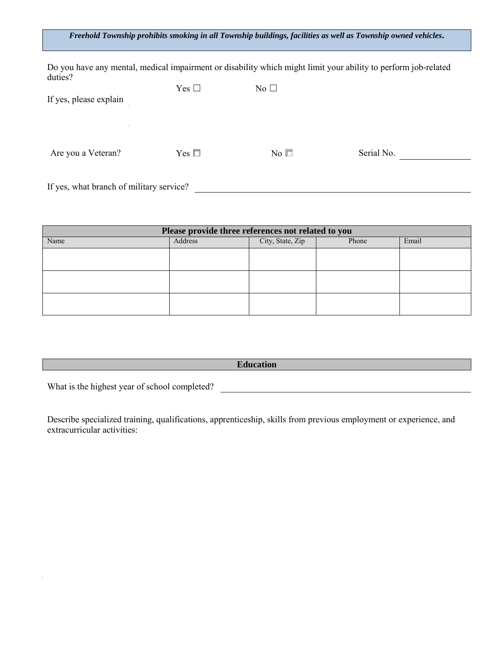## *Freehold Township prohibits smoking in all Township buildings, facilities as well as Township owned vehicles***.**

Do you have any mental, medical impairment or disability which might limit your ability to perform job-related duties?

| If yes, please explain                            | Yes $\square$ | No $\square$ |            |  |
|---------------------------------------------------|---------------|--------------|------------|--|
| $\mathcal{L}_{\mathcal{A}}$<br>Are you a Veteran? | Yes $\square$ | No $\square$ | Serial No. |  |
| If yes, what branch of military service?          |               |              |            |  |

| Please provide three references not related to you |         |                  |       |       |
|----------------------------------------------------|---------|------------------|-------|-------|
| Name                                               | Address | City, State, Zip | Phone | Email |
|                                                    |         |                  |       |       |
|                                                    |         |                  |       |       |
|                                                    |         |                  |       |       |
|                                                    |         |                  |       |       |
|                                                    |         |                  |       |       |
|                                                    |         |                  |       |       |

**Education**

What is the highest year of school completed?

Describe specialized training, qualifications, apprenticeship, skills from previous employment or experience, and extracurricular activities: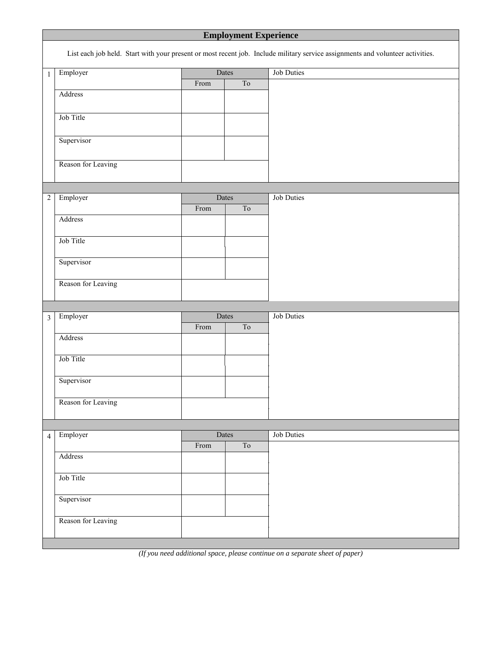| <b>Employment Experience</b>                                                                                                   |                    |      |                          |                   |  |
|--------------------------------------------------------------------------------------------------------------------------------|--------------------|------|--------------------------|-------------------|--|
| List each job held. Start with your present or most recent job. Include military service assignments and volunteer activities. |                    |      |                          |                   |  |
| $\mathbf 1$                                                                                                                    | Employer<br>Dates  |      |                          | <b>Job Duties</b> |  |
|                                                                                                                                |                    | From | $\overline{\mathrm{To}}$ |                   |  |
|                                                                                                                                | Address            |      |                          |                   |  |
|                                                                                                                                |                    |      |                          |                   |  |
|                                                                                                                                | Job Title          |      |                          |                   |  |
|                                                                                                                                | Supervisor         |      |                          |                   |  |
|                                                                                                                                |                    |      |                          |                   |  |
|                                                                                                                                | Reason for Leaving |      |                          |                   |  |
|                                                                                                                                |                    |      |                          |                   |  |
|                                                                                                                                |                    |      |                          |                   |  |
| $\sqrt{2}$                                                                                                                     | Employer           |      | Dates                    | <b>Job Duties</b> |  |
|                                                                                                                                | Address            | From | ${\rm To}$               |                   |  |
|                                                                                                                                |                    |      |                          |                   |  |
|                                                                                                                                | Job Title          |      |                          |                   |  |
|                                                                                                                                |                    |      |                          |                   |  |
|                                                                                                                                | Supervisor         |      |                          |                   |  |
|                                                                                                                                | Reason for Leaving |      |                          |                   |  |
|                                                                                                                                |                    |      |                          |                   |  |
|                                                                                                                                |                    |      |                          |                   |  |
| $\overline{3}$                                                                                                                 | Employer           |      | Dates                    | <b>Job Duties</b> |  |
|                                                                                                                                |                    | From | T <sub>o</sub>           |                   |  |
|                                                                                                                                | Address            |      |                          |                   |  |
|                                                                                                                                | Job Title          |      |                          |                   |  |
|                                                                                                                                |                    |      |                          |                   |  |
|                                                                                                                                | Supervisor         |      |                          |                   |  |
|                                                                                                                                |                    |      |                          |                   |  |
|                                                                                                                                | Reason for Leaving |      |                          |                   |  |
|                                                                                                                                |                    |      |                          |                   |  |
| $\overline{4}$                                                                                                                 | Employer           |      | Dates                    | <b>Job Duties</b> |  |
|                                                                                                                                |                    | From | $\overline{\mathrm{To}}$ |                   |  |
|                                                                                                                                | Address            |      |                          |                   |  |
|                                                                                                                                | Job Title          |      |                          |                   |  |
|                                                                                                                                |                    |      |                          |                   |  |
|                                                                                                                                | Supervisor         |      |                          |                   |  |
|                                                                                                                                |                    |      |                          |                   |  |
|                                                                                                                                | Reason for Leaving |      |                          |                   |  |
|                                                                                                                                |                    |      |                          |                   |  |

*(If you need additional space, please continue on a separate sheet of paper)*